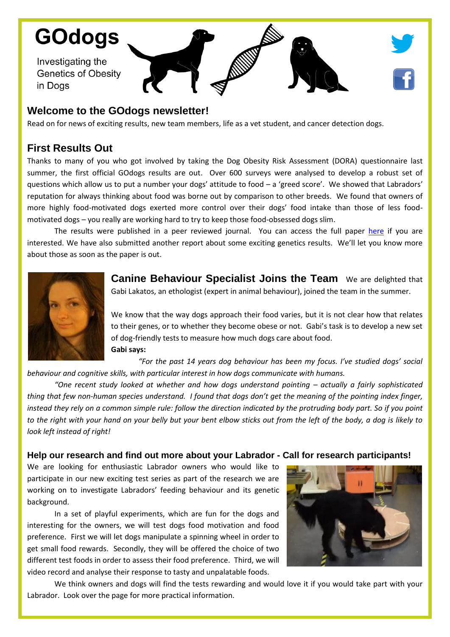# **GOdogs**

Investigating the **Genetics of Obesity** in Dogs

# **Welcome to the GOdogs newsletter!**

Read on for news of exciting results, new team members, life as a vet student, and cancer detection dogs.

## **First Results Out**

Thanks to many of you who got involved by taking the Dog Obesity Risk Assessment (DORA) questionnaire last summer, the first official GOdogs results are out. Over 600 surveys were analysed to develop a robust set of questions which allow us to put a number your dogs' attitude to food – a 'greed score'. We showed that Labradors' reputation for always thinking about food was borne out by comparison to other breeds. We found that owners of more highly food-motivated dogs exerted more control over their dogs' food intake than those of less foodmotivated dogs – you really are working hard to try to keep those food-obsessed dogs slim.

The results were published in a peer reviewed journal. You can access the full paper [here](https://peerj.com/articles/1278/) if you are interested. We have also submitted another report about some exciting genetics results. We'll let you know more about those as soon as the paper is out.



**Canine Behaviour Specialist Joins the Team** We are delighted that Gabi Lakatos, an ethologist (expert in animal behaviour), joined the team in the summer.

We know that the way dogs approach their food varies, but it is not clear how that relates to their genes, or to whether they become obese or not. Gabi's task is to develop a new set of dog-friendly tests to measure how much dogs care about food. **Gabi says:**

*"For the past 14 years dog behaviour has been my focus. I've studied dogs' social behaviour and cognitive skills, with particular interest in how dogs communicate with humans.* 

*"One recent study looked at whether and how dogs understand pointing – actually a fairly sophisticated thing that few non-human species understand. I found that dogs don't get the meaning of the pointing index finger, instead they rely on a common simple rule: follow the direction indicated by the protruding body part. So if you point to the right with your hand on your belly but your bent elbow sticks out from the left of the body, a dog is likely to look left instead of right!* 

#### **Help our research and find out more about your Labrador - Call for research participants!**

We are looking for enthusiastic Labrador owners who would like to participate in our new exciting test series as part of the research we are working on to investigate Labradors' feeding behaviour and its genetic background.

In a set of playful experiments, which are fun for the dogs and interesting for the owners, we will test dogs food motivation and food preference. First we will let dogs manipulate a spinning wheel in order to get small food rewards. Secondly, they will be offered the choice of two different test foods in order to assess their food preference. Third, we will video record and analyse their response to tasty and unpalatable foods.



We think owners and dogs will find the tests rewarding and would love it if you would take part with your Labrador. Look over the page for more practical information.